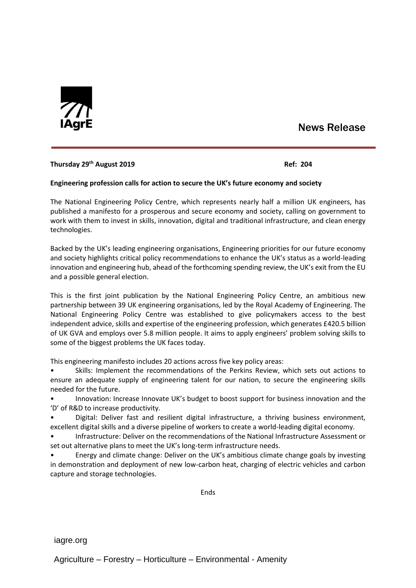

# News Release

## **Thursday 29th August 2019 Ref: 204**

## **Engineering profession calls for action to secure the UK's future economy and society**

The National Engineering Policy Centre, which represents nearly half a million UK engineers, has published a manifesto for a prosperous and secure economy and society, calling on government to work with them to invest in skills, innovation, digital and traditional infrastructure, and clean energy technologies.

Backed by the UK's leading engineering organisations, Engineering priorities for our future economy and society highlights critical policy recommendations to enhance the UK's status as a world-leading innovation and engineering hub, ahead of the forthcoming spending review, the UK's exit from the EU and a possible general election.

This is the first joint publication by the National Engineering Policy Centre, an ambitious new partnership between 39 UK engineering organisations, led by the Royal Academy of Engineering. The National Engineering Policy Centre was established to give policymakers access to the best independent advice, skills and expertise of the engineering profession, which generates £420.5 billion of UK GVA and employs over 5.8 million people. It aims to apply engineers' problem solving skills to some of the biggest problems the UK faces today.

This engineering manifesto includes 20 actions across five key policy areas:

• Skills: Implement the recommendations of the Perkins Review, which sets out actions to ensure an adequate supply of engineering talent for our nation, to secure the engineering skills needed for the future.

• Innovation: Increase Innovate UK's budget to boost support for business innovation and the 'D' of R&D to increase productivity.

• Digital: Deliver fast and resilient digital infrastructure, a thriving business environment, excellent digital skills and a diverse pipeline of workers to create a world-leading digital economy.

• Infrastructure: Deliver on the recommendations of the National Infrastructure Assessment or set out alternative plans to meet the UK's long-term infrastructure needs.

• Energy and climate change: Deliver on the UK's ambitious climate change goals by investing in demonstration and deployment of new low-carbon heat, charging of electric vehicles and carbon capture and storage technologies.

**Fnds** 

iagre.org